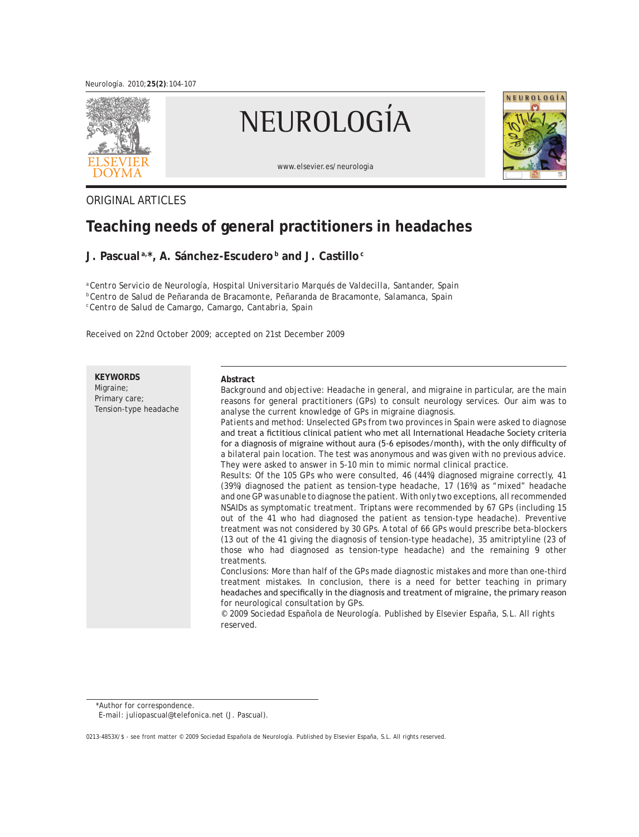

# NEUROLOGÍA

www.elsevier.es/neurologia



### ORIGINAL ARTICLES

# **Teaching needs of general practitioners in headaches**

## **J. Pascual a,\*, A. Sánchez-Escudero b and J. Castillo c**

<sup>a</sup>*Centro Servicio de Neurología, Hospital Universitario Marqués de Valdecilla, Santander, Spain*  b  *Centro de Salud de Peñaranda de Bracamonte, Peñaranda de Bracamonte, Salamanca, Spain* 

c  *Centro de Salud de Camargo, Camargo, Cantabria, Spain* 

Received on 22nd October 2009; accepted on 21st December 2009

**KEYWORDS**

Migraine; Primary care; Tension-type headache

#### **Abstract**

*Background and objective:* Headache in general, and migraine in particular, are the main reasons for general practitioners (GPs) to consult neurology services. Our aim was to analyse the current knowledge of GPs in migraine diagnosis.

*Patients and method:* Unselected GPs from two provinces in Spain were asked to diagnose and treat a fictitious clinical patient who met all International Headache Society criteria for a diagnosis of migraine without aura (5-6 episodes/month), with the only difficulty of a bilateral pain location. the test was anonymous and was given with no previous advice. they were asked to answer in 5-10 min to mimic normal clinical practice.

*Results:* Of the 105 GPs who were consulted, 46 (44%) diagnosed migraine correctly, 41 (39%) diagnosed the patient as tension-type headache, 17 (16%) as "mixed" headache and one GP was unable to diagnose the patient. With only two exceptions, all recommended NSAIDs as symptomatic treatment. triptans were recommended by 67 GPs (including 15 out of the 41 who had diagnosed the patient as tension-type headache). Preventive treatment was not considered by 30 GPs. A total of 66 GPs would prescribe beta-blockers (13 out of the 41 giving the diagnosis of tension-type headache), 35 amitriptyline (23 of those who had diagnosed as tension-type headache) and the remaining 9 other treatments.

*Conclusions:* More than half of the GPs made diagnostic mistakes and more than one-third treatment mistakes. In conclusion, there is a need for better teaching in primary headaches and specifically in the diagnosis and treatment of migraine, the primary reason for neurological consultation by GPs.

© 2009 Sociedad Española de Neurología. Published by Elsevier España, S.L. All rights reserved.

\* Author for correspondence.

*E-mail*: juliopascual@telefonica.net (J. Pascual).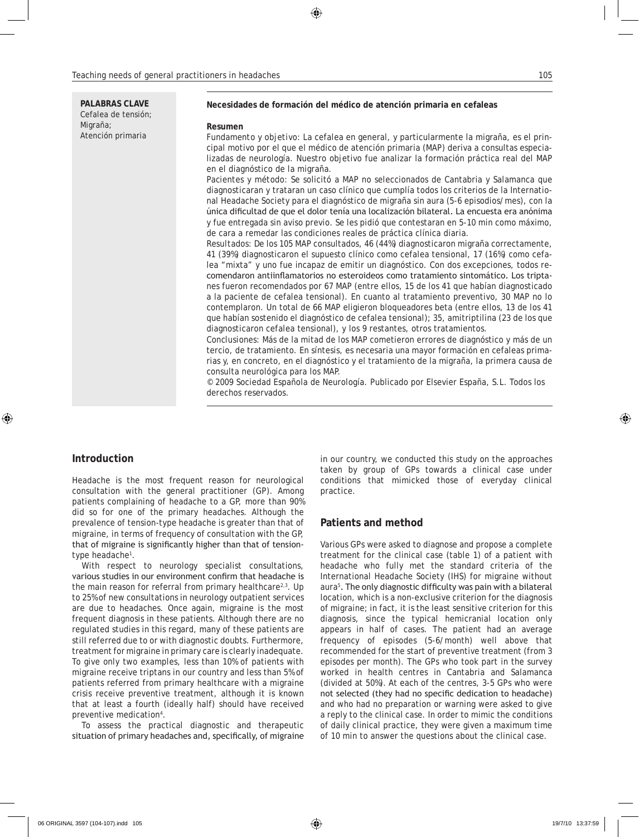| <b>PALABRAS CLAVE</b><br>Cefalea de tensión; | Necesidades de formación del médico de atención primaria en cefaleas                                                                                                                                                                                                                                                                                                                                                                                                                                                                                                                                                                                                                                                                                                                                                                                                                                                                                                                                                                                                                                                                                                                                                                                                                                                                                                                                                                                                                                                                                                                                                                                                                                                                                                                                                                                                                                                                                                                                                                                                                                                                                           |
|----------------------------------------------|----------------------------------------------------------------------------------------------------------------------------------------------------------------------------------------------------------------------------------------------------------------------------------------------------------------------------------------------------------------------------------------------------------------------------------------------------------------------------------------------------------------------------------------------------------------------------------------------------------------------------------------------------------------------------------------------------------------------------------------------------------------------------------------------------------------------------------------------------------------------------------------------------------------------------------------------------------------------------------------------------------------------------------------------------------------------------------------------------------------------------------------------------------------------------------------------------------------------------------------------------------------------------------------------------------------------------------------------------------------------------------------------------------------------------------------------------------------------------------------------------------------------------------------------------------------------------------------------------------------------------------------------------------------------------------------------------------------------------------------------------------------------------------------------------------------------------------------------------------------------------------------------------------------------------------------------------------------------------------------------------------------------------------------------------------------------------------------------------------------------------------------------------------------|
| Migraña;<br>Atención primaria                | Resumen<br>Fundamento y objetivo: La cefalea en general, y particularmente la migraña, es el prin-<br>cipal motivo por el que el médico de atención primaria (MAP) deriva a consultas especia-<br>lizadas de neurología. Nuestro objetivo fue analizar la formación práctica real del MAP<br>en el diagnóstico de la migraña.<br>Pacientes y método: Se solicitó a MAP no seleccionados de Cantabria y Salamanca que<br>diagnosticaran y trataran un caso clínico que cumplía todos los criterios de la Internatio-<br>nal Headache Society para el diagnóstico de migraña sin aura (5-6 episodios/mes), con la<br>única dificultad de que el dolor tenía una localización bilateral. La encuesta era anónima<br>y fue entregada sin aviso previo. Se les pidió que contestaran en 5-10 min como máximo,<br>de cara a remedar las condiciones reales de práctica clínica diaria.<br>Resultados: De los 105 MAP consultados, 46 (44%) diagnosticaron migraña correctamente,<br>41 (39%) diagnosticaron el supuesto clínico como cefalea tensional, 17 (16%) como cefa-<br>lea "mixta" y uno fue incapaz de emitir un diagnóstico. Con dos excepciones, todos re-<br>comendaron antiinflamatorios no esteroideos como tratamiento sintomático. Los tripta-<br>nes fueron recomendados por 67 MAP (entre ellos, 15 de los 41 que habían diagnosticado<br>a la paciente de cefalea tensional). En cuanto al tratamiento preventivo, 30 MAP no lo<br>contemplaron. Un total de 66 MAP eligieron bloqueadores beta (entre ellos, 13 de los 41<br>que habían sostenido el diagnóstico de cefalea tensional); 35, amitriptilina (23 de los que<br>diagnosticaron cefalea tensional), y los 9 restantes, otros tratamientos.<br>Conclusiones: Más de la mitad de los MAP cometieron errores de diagnóstico y más de un<br>tercio, de tratamiento. En síntesis, es necesaria una mayor formación en cefaleas prima-<br>rias y, en concreto, en el diagnóstico y el tratamiento de la migraña, la primera causa de<br>consulta neurológica para los MAP.<br>© 2009 Sociedad Española de Neurología. Publicado por Elsevier España, S.L. Todos los<br>derechos reservados. |

#### **Introduction**

Headache is the most frequent reason for neurological consultation with the general practitioner (GP). Among patients complaining of headache to a GP, more than 90% did so for one of the primary headaches. Although the prevalence of tension-type headache is greater than that of migraine, in terms of frequency of consultation with the GP, that of migraine is significantly higher than that of tensiontype headache<sup>1</sup>.

With respect to neurology specialist consultations, various studies in our environment confirm that headache is the main reason for referral from primary healthcare $2,3$ . Up to 25% of new consultations in neurology outpatient services are due to headaches. Once again, migraine is the most frequent diagnosis in these patients. Although there are no regulated studies in this regard, many of these patients are still referred due to or with diagnostic doubts. Furthermore, treatment for migraine in primary care is clearly inadequate. To give only two examples, less than 10% of patients with migraine receive triptans in our country and less than 5% of patients referred from primary healthcare with a migraine crisis receive preventive treatment, although it is known that at least a fourth (ideally half) should have received preventive medication<sup>4</sup>.

To assess the practical diagnostic and therapeutic situation of primary headaches and, specifically, of migraine in our country, we conducted this study on the approaches taken by group of GPs towards a clinical case under conditions that mimicked those of everyday clinical practice.

#### **Patients and method**

Various GPs were asked to diagnose and propose a complete treatment for the clinical case (table 1) of a patient with headache who fully met the standard criteria of the International Headache Society (IHS) for migraine without aura5 . The only diagnostic difficulty was pain with a bilateral location, which is a non-exclusive criterion for the diagnosis of migraine; in fact, it is the least sensitive criterion for this diagnosis, since the typical hemicranial location only appears in half of cases. The patient had an average frequency of episodes (5-6/month) well above that recommended for the start of preventive treatment (from 3 episodes per month). The GPs who took part in the survey worked in health centres in cantabria and Salamanca (divided at 50%). At each of the centres, 3-5 GPs who were not selected (they had no specific dedication to headache) and who had no preparation or warning were asked to give a reply to the clinical case. In order to mimic the conditions of daily clinical practice, they were given a maximum time of 10 min to answer the questions about the clinical case.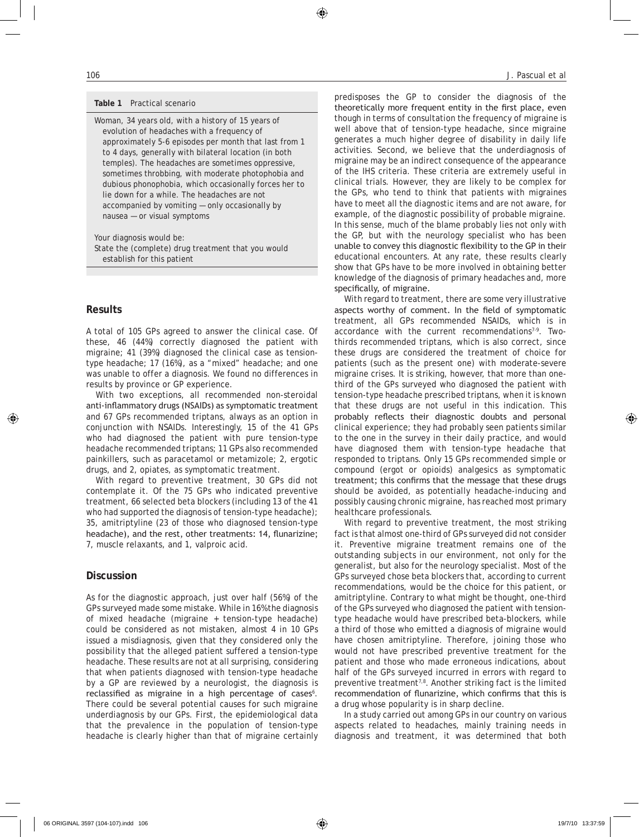#### **Table 1** Practical scenario

Woman, 34 years old, with a history of 15 years of evolution of headaches with a frequency of approximately 5-6 episodes per month that last from 1 to 4 days, generally with bilateral location (in both temples). The headaches are sometimes oppressive, sometimes throbbing, with moderate photophobia and dubious phonophobia, which occasionally forces her to lie down for a while. The headaches are not accompanied by vomiting — only occasionally by nausea — or visual symptoms

Your diagnosis would be: State the (complete) drug treatment that you would establish for this patient

#### **Results**

A total of 105 GPs agreed to answer the clinical case. Of these, 46 (44%) correctly diagnosed the patient with migraine; 41 (39%) diagnosed the clinical case as tensiontype headache; 17 (16%), as a "mixed" headache; and one was unable to offer a diagnosis. We found no differences in results by province or GP experience.

With two exceptions, all recommended non-steroidal anti-inflammatory drugs (NSAIDs) as symptomatic treatment and 67 GPs recommended triptans, always as an option in conjunction with NSAIDs. Interestingly, 15 of the 41 GPs who had diagnosed the patient with pure tension-type headache recommended triptans; 11 GPs also recommended painkillers, such as paracetamol or metamizole; 2, ergotic drugs, and 2, opiates, as symptomatic treatment.

With regard to preventive treatment, 30 GPs did not contemplate it. Of the 75 GPs who indicated preventive treatment, 66 selected beta blockers (including 13 of the 41 who had supported the diagnosis of tension-type headache); 35, amitriptyline (23 of those who diagnosed tension-type headache), and the rest, other treatments: 14, flunarizine; 7, muscle relaxants, and 1, valproic acid.

#### **Discussion**

As for the diagnostic approach, just over half (56%) of the GPs surveyed made some mistake. While in 16% the diagnosis of mixed headache (migraine + tension-type headache) could be considered as not mistaken, almost 4 in 10 GPs issued a misdiagnosis, given that they considered only the possibility that the alleged patient suffered a tension-type headache. These results are not at all surprising, considering that when patients diagnosed with tension-type headache by a GP are reviewed by a neurologist, the diagnosis is reclassified as migraine in a high percentage of cases<sup>6</sup>. There could be several potential causes for such migraine underdiagnosis by our GPs. First, the epidemiological data that the prevalence in the population of tension-type headache is clearly higher than that of migraine certainly

predisposes the GP to consider the diagnosis of the theoretically more frequent entity in the first place, even though in terms of consultation the frequency of migraine is well above that of tension-type headache, since migraine generates a much higher degree of disability in daily life activities. Second, we believe that the underdiagnosis of migraine may be an indirect consequence of the appearance of the IHS criteria. These criteria are extremely useful in clinical trials. However, they are likely to be complex for the GPs, who tend to think that patients with migraines have to meet all the diagnostic items and are not aware, for example, of the diagnostic possibility of probable migraine. In this sense, much of the blame probably lies not only with the GP, but with the neurology specialist who has been unable to convey this diagnostic flexibility to the GP in their educational encounters. At any rate, these results clearly show that GPs have to be more involved in obtaining better knowledge of the diagnosis of primary headaches and, more

With regard to treatment, there are some very illustrative aspects worthy of comment. In the field of symptomatic treatment, all GPs recommended NSAIDs, which is in accordance with the current recommendations<sup>7-9</sup>. Twothirds recommended triptans, which is also correct, since these drugs are considered the treatment of choice for patients (such as the present one) with moderate-severe migraine crises. It is striking, however, that more than onethird of the GPs surveyed who diagnosed the patient with tension-type headache prescribed triptans, when it is known that these drugs are not useful in this indication. This probably reflects their diagnostic doubts and personal clinical experience; they had probably seen patients similar to the one in the survey in their daily practice, and would have diagnosed them with tension-type headache that responded to triptans. Only 15 GPs recommended simple or compound (ergot or opioids) analgesics as symptomatic treatment; this confirms that the message that these drugs should be avoided, as potentially headache-inducing and possibly causing chronic migraine, has reached most primary healthcare professionals.

specifically, of migraine.

With regard to preventive treatment, the most striking fact is that almost one-third of GPs surveyed did not consider it. Preventive migraine treatment remains one of the outstanding subjects in our environment, not only for the generalist, but also for the neurology specialist. Most of the GPs surveyed chose beta blockers that, according to current recommendations, would be the choice for this patient, or amitriptyline. contrary to what might be thought, one-third of the GPs surveyed who diagnosed the patient with tensiontype headache would have prescribed beta-blockers, while a third of those who emitted a diagnosis of migraine would have chosen amitriptyline. Therefore, joining those who would not have prescribed preventive treatment for the patient and those who made erroneous indications, about half of the GPs surveyed incurred in errors with regard to preventive treatment<sup>7,8</sup>. Another striking fact is the limited recommendation of flunarizine, which confirms that this is a drug whose popularity is in sharp decline.

In a study carried out among GPs in our country on various aspects related to headaches, mainly training needs in diagnosis and treatment, it was determined that both